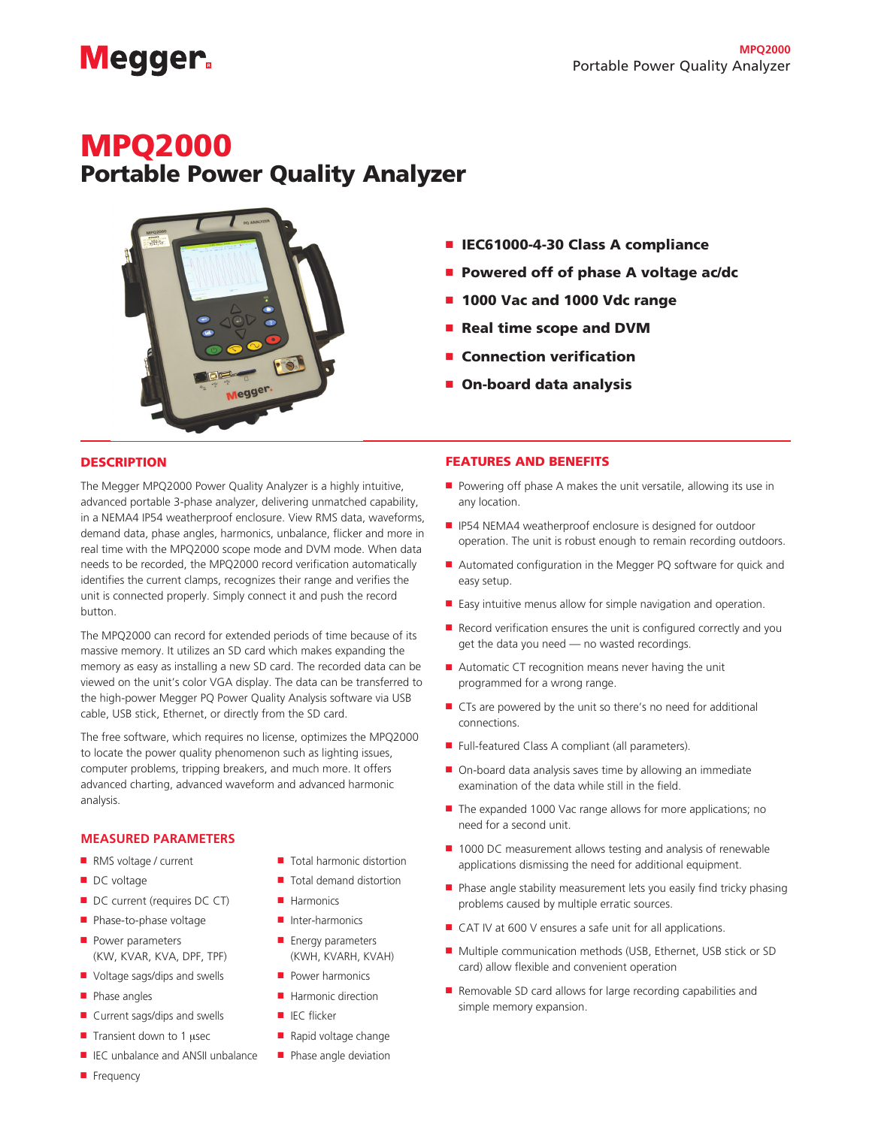# **Megger**

### MPQ2000

## Portable Power Quality Analyzer



- IEC61000-4-30 Class A compliance
- Powered off of phase A voltage ac/dc
- 1000 Vac and 1000 Vdc range
- Real time scope and DVM
- **Connection verification**
- On-board data analysis

#### **DESCRIPTION**

The Megger MPQ2000 Power Quality Analyzer is a highly intuitive, advanced portable 3-phase analyzer, delivering unmatched capability, in a NEMA4 IP54 weatherproof enclosure. View RMS data, waveforms, demand data, phase angles, harmonics, unbalance, flicker and more in real time with the MPQ2000 scope mode and DVM mode. When data needs to be recorded, the MPQ2000 record verification automatically identifies the current clamps, recognizes their range and verifies the unit is connected properly. Simply connect it and push the record button.

The MPQ2000 can record for extended periods of time because of its massive memory. It utilizes an SD card which makes expanding the memory as easy as installing a new SD card. The recorded data can be viewed on the unit's color VGA display. The data can be transferred to the high-power Megger PQ Power Quality Analysis software via USB cable, USB stick, Ethernet, or directly from the SD card.

The free software, which requires no license, optimizes the MPQ2000 to locate the power quality phenomenon such as lighting issues, computer problems, tripping breakers, and much more. It offers advanced charting, advanced waveform and advanced harmonic analysis.

#### **MEASURED PARAMETERS**

- 
- 
- DC current (requires DC CT) Harmonics
- Phase-to-phase voltage Inter-harmonics
- Power parameters (KW, KVAR, KVA, DPF, TPF)
- Voltage sags/dips and swells Power harmonics
- 
- Current sags/dips and swells IEC flicker
- Transient down to 1 µsec Rapid voltage change
- IEC unbalance and ANSII unbalance Phase angle deviation
- RMS voltage / current Total harmonic distortion
- DC voltage Total demand distortion
	-
	-
	- Energy parameters (KWH, KVARH, KVAH)
	-
- Phase angles Harmonic direction
	-
	-
	-

#### FEATURES AND BENEFITS

- Powering off phase A makes the unit versatile, allowing its use in any location.
- IP54 NEMA4 weatherproof enclosure is designed for outdoor operation. The unit is robust enough to remain recording outdoors.
- Automated configuration in the Megger PQ software for quick and easy setup.
- Easy intuitive menus allow for simple navigation and operation.
- Record verification ensures the unit is configured correctly and you get the data you need — no wasted recordings.
- Automatic CT recognition means never having the unit programmed for a wrong range.
- CTs are powered by the unit so there's no need for additional connections.
- Full-featured Class A compliant (all parameters).
- On-board data analysis saves time by allowing an immediate examination of the data while still in the field.
- The expanded 1000 Vac range allows for more applications; no need for a second unit.
- 1000 DC measurement allows testing and analysis of renewable applications dismissing the need for additional equipment.
- Phase angle stability measurement lets you easily find tricky phasing problems caused by multiple erratic sources.
- CAT IV at 600 V ensures a safe unit for all applications.
- Multiple communication methods (USB, Ethernet, USB stick or SD card) allow flexible and convenient operation
- Removable SD card allows for large recording capabilities and simple memory expansion.

■ Frequency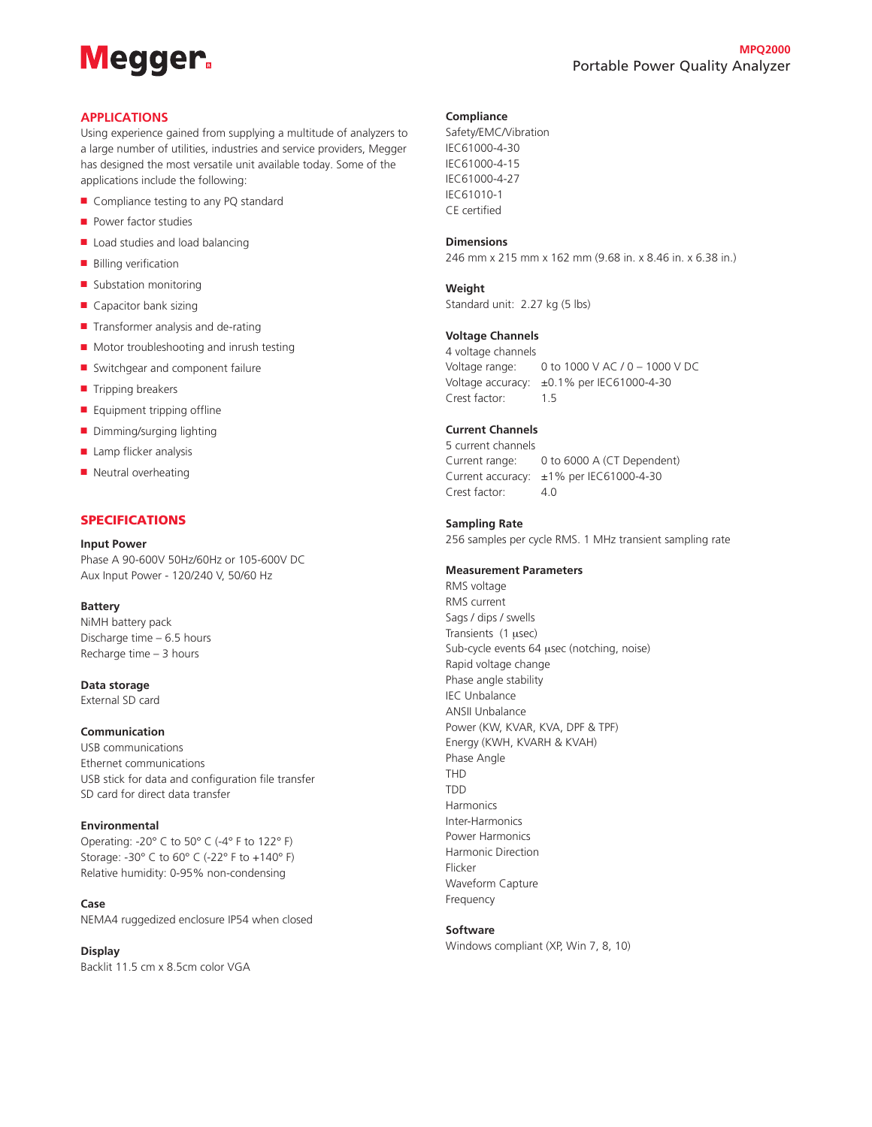## **Megger**

#### **APPLICATIONS**

Using experience gained from supplying a multitude of analyzers to a large number of utilities, industries and service providers, Megger has designed the most versatile unit available today. Some of the applications include the following:

- Compliance testing to any PQ standard
- Power factor studies
- Load studies and load balancing
- Billing verification
- Substation monitoring
- Capacitor bank sizing
- Transformer analysis and de-rating
- Motor troubleshooting and inrush testing
- Switchgear and component failure
- Tripping breakers
- Equipment tripping offline
- Dimming/surging lighting
- Lamp flicker analysis
- Neutral overheating

#### SPECIFICATIONS

#### **Input Power**

Phase A 90-600V 50Hz/60Hz or 105-600V DC Aux Input Power - 120/240 V, 50/60 Hz

#### **Battery**

NiMH battery pack Discharge time – 6.5 hours Recharge time – 3 hours

**Data storage** External SD card

#### **Communication**

USB communications Ethernet communications USB stick for data and configuration file transfer SD card for direct data transfer

#### **Environmental**

Operating: -20° C to 50° C (-4° F to 122° F) Storage: -30° C to 60° C (-22° F to +140° F) Relative humidity: 0-95% non-condensing

#### **Case**

NEMA4 ruggedized enclosure IP54 when closed

#### **Display**

Backlit 11.5 cm x 8.5cm color VGA

#### **Compliance**

Safety/EMC/Vibration IEC61000-4-30 IEC61000-4-15 IEC61000-4-27 IEC61010-1 CE certified

#### **Dimensions**

246 mm x 215 mm x 162 mm (9.68 in. x 8.46 in. x 6.38 in.)

#### **Weight**

Standard unit: 2.27 kg (5 lbs)

#### **Voltage Channels**

4 voltage channels Voltage range: 0 to 1000 V AC / 0 – 1000 V DC Voltage accuracy: ±0.1% per IEC61000-4-30 Crest factor: 1.5

#### **Current Channels**

5 current channels Current range: 0 to 6000 A (CT Dependent) Current accuracy: ±1% per IEC61000-4-30 Crest factor: 4.0

#### **Sampling Rate**

256 samples per cycle RMS. 1 MHz transient sampling rate

#### **Measurement Parameters**

RMS voltage RMS current Sags / dips / swells Transients (1 µsec) Sub-cycle events 64 usec (notching, noise) Rapid voltage change Phase angle stability IEC Unbalance ANSII Unbalance Power (KW, KVAR, KVA, DPF & TPF) Energy (KWH, KVARH & KVAH) Phase Angle THD TDD Harmonics Inter-Harmonics Power Harmonics Harmonic Direction Flicker Waveform Capture Frequency

#### **Software**

Windows compliant (XP, Win 7, 8, 10)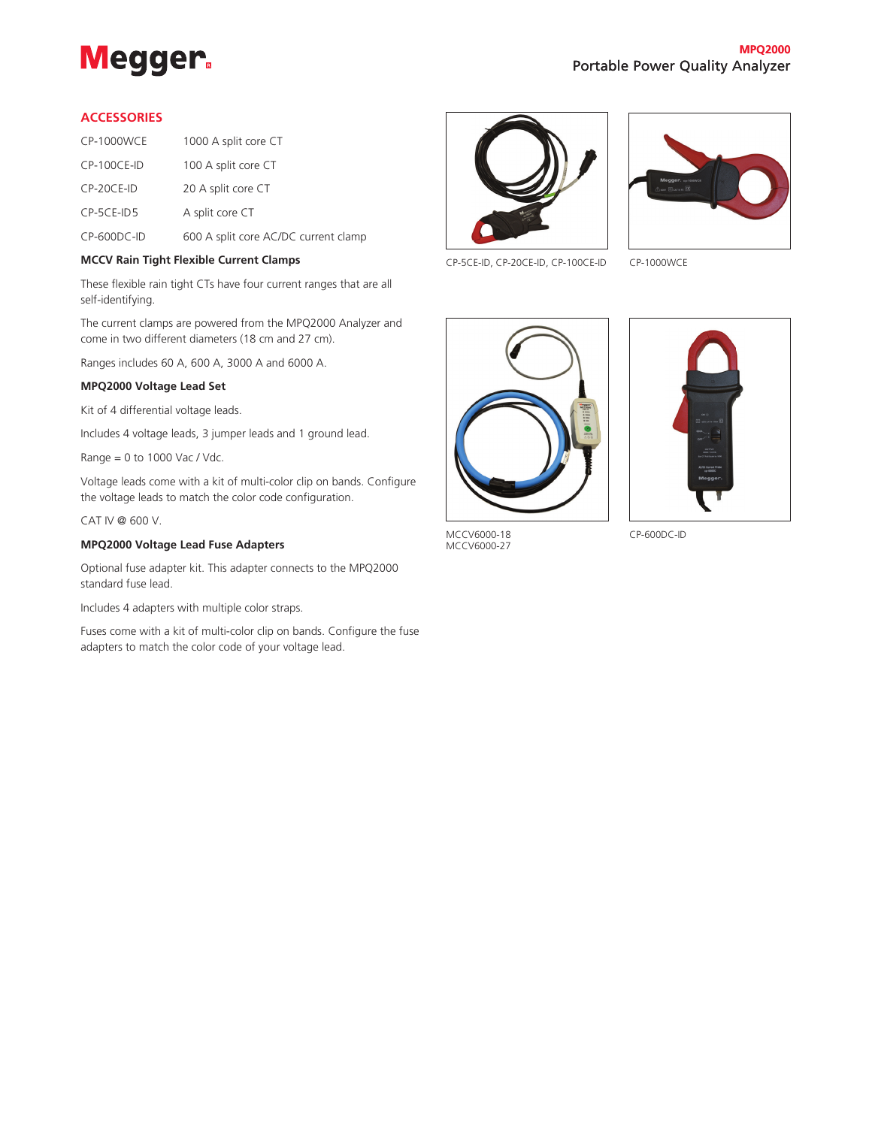

#### **ACCESSORIES**

| <b>CP-1000WCE</b> | 1000 A split core CT                 |
|-------------------|--------------------------------------|
| $CP-100CE-ID$     | 100 A split core CT                  |
| $CP-20CE-ID$      | 20 A split core CT                   |
| $CP-5CE-1D5$      | A split core CT                      |
| $CP-600DC-ID$     | 600 A split core AC/DC current clamp |

#### **MCCV Rain Tight Flexible Current Clamps**

These flexible rain tight CTs have four current ranges that are all self-identifying.

The current clamps are powered from the MPQ2000 Analyzer and come in two different diameters (18 cm and 27 cm).

Ranges includes 60 A, 600 A, 3000 A and 6000 A.

#### **MPQ2000 Voltage Lead Set**

Kit of 4 differential voltage leads.

Includes 4 voltage leads, 3 jumper leads and 1 ground lead.

Range = 0 to 1000 Vac / Vdc.

Voltage leads come with a kit of multi-color clip on bands. Configure the voltage leads to match the color code configuration.

CAT IV @ 600 V.

#### **MPQ2000 Voltage Lead Fuse Adapters**

Optional fuse adapter kit. This adapter connects to the MPQ2000 standard fuse lead.

Includes 4 adapters with multiple color straps.

Fuses come with a kit of multi-color clip on bands. Configure the fuse adapters to match the color code of your voltage lead.





CP-5CE-ID, CP-20CE-ID, CP-100CE-ID CP-1000WCE





MCCV6000-18 MCCV6000-27

CP-600DC-ID